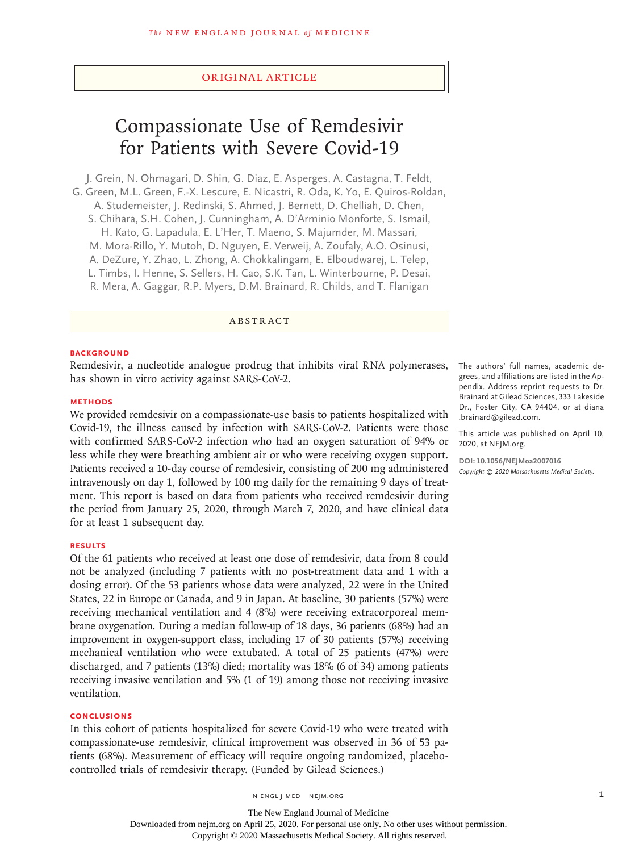### Original Article

# Compassionate Use of Remdesivir for Patients with Severe Covid-19

J. Grein, N. Ohmagari, D. Shin, G. Diaz, E. Asperges, A. Castagna, T. Feldt, G. Green, M.L. Green, F.-X. Lescure, E. Nicastri, R. Oda, K. Yo, E. Quiros-Roldan, A. Studemeister, J. Redinski, S. Ahmed, J. Bernett, D. Chelliah, D. Chen, S. Chihara, S.H. Cohen, J. Cunningham, A. D'Arminio Monforte, S. Ismail, H. Kato, G. Lapadula, E. L'Her, T. Maeno, S. Majumder, M. Massari, M. Mora-Rillo, Y. Mutoh, D. Nguyen, E. Verweij, A. Zoufaly, A.O. Osinusi, A. DeZure, Y. Zhao, L. Zhong, A. Chokkalingam, E. Elboudwarej, L. Telep, L. Timbs, I. Henne, S. Sellers, H. Cao, S.K. Tan, L. Winterbourne, P. Desai, R. Mera, A. Gaggar, R.P. Myers, D.M. Brainard, R. Childs, and T. Flanigan

ABSTRACT

### **BACKGROUND**

Remdesivir, a nucleotide analogue prodrug that inhibits viral RNA polymerases, has shown in vitro activity against SARS-CoV-2.

#### **METHODS**

We provided remdesivir on a compassionate-use basis to patients hospitalized with Covid-19, the illness caused by infection with SARS-CoV-2. Patients were those with confirmed SARS-CoV-2 infection who had an oxygen saturation of 94% or less while they were breathing ambient air or who were receiving oxygen support. Patients received a 10-day course of remdesivir, consisting of 200 mg administered intravenously on day 1, followed by 100 mg daily for the remaining 9 days of treatment. This report is based on data from patients who received remdesivir during the period from January 25, 2020, through March 7, 2020, and have clinical data for at least 1 subsequent day.

### **RESULTS**

Of the 61 patients who received at least one dose of remdesivir, data from 8 could not be analyzed (including 7 patients with no post-treatment data and 1 with a dosing error). Of the 53 patients whose data were analyzed, 22 were in the United States, 22 in Europe or Canada, and 9 in Japan. At baseline, 30 patients (57%) were receiving mechanical ventilation and 4 (8%) were receiving extracorporeal membrane oxygenation. During a median follow-up of 18 days, 36 patients (68%) had an improvement in oxygen-support class, including 17 of 30 patients (57%) receiving mechanical ventilation who were extubated. A total of 25 patients (47%) were discharged, and 7 patients (13%) died; mortality was 18% (6 of 34) among patients receiving invasive ventilation and 5% (1 of 19) among those not receiving invasive ventilation.

## **CONCLUSIONS**

In this cohort of patients hospitalized for severe Covid-19 who were treated with compassionate-use remdesivir, clinical improvement was observed in 36 of 53 patients (68%). Measurement of efficacy will require ongoing randomized, placebocontrolled trials of remdesivir therapy. (Funded by Gilead Sciences.)

The authors' full names, academic degrees, and affiliations are listed in the Appendix. Address reprint requests to Dr. Brainard at Gilead Sciences, 333 Lakeside Dr., Foster City, CA 94404, or at diana .brainard@gilead.com.

This article was published on April 10, 2020, at NEJM.org.

**DOI: 10.1056/NEJMoa2007016** *Copyright © 2020 Massachusetts Medical Society.*

The New England Journal of Medicine Downloaded from nejm.org on April 25, 2020. For personal use only. No other uses without permission.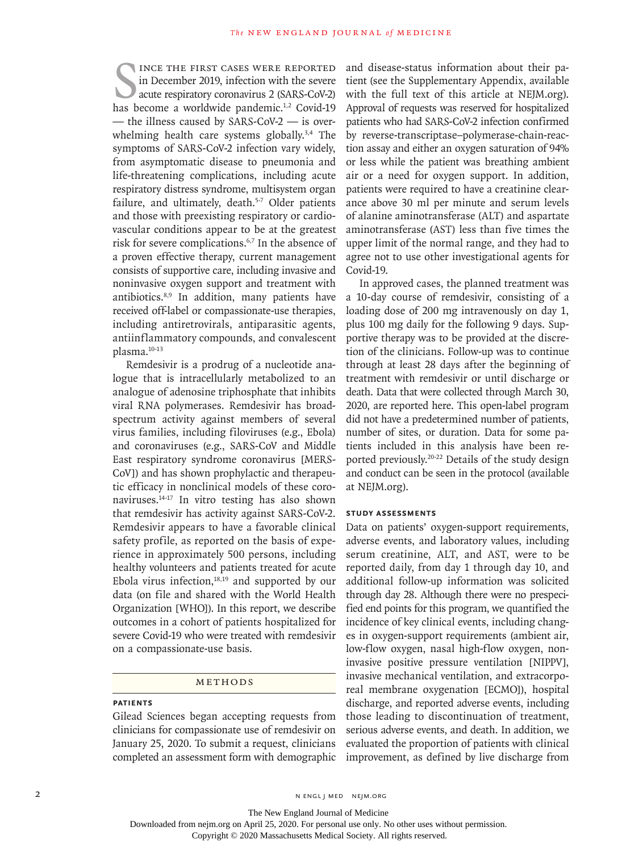ST ENGT CASES WERE REPORTED<br>
in December 2019, infection with the severe<br>
acute respiratory coronavirus 2 (SARS-CoV-2)<br>
has become a worldwide pandemic.<sup>1,2</sup> Covid-19 ince the first cases were reported in December 2019, infection with the severe acute respiratory coronavirus 2 (SARS-CoV-2) — the illness caused by SARS-CoV-2 — is overwhelming health care systems globally.<sup>3,4</sup> The symptoms of SARS-CoV-2 infection vary widely, from asymptomatic disease to pneumonia and life-threatening complications, including acute respiratory distress syndrome, multisystem organ failure, and ultimately, death.<sup>5-7</sup> Older patients and those with preexisting respiratory or cardiovascular conditions appear to be at the greatest risk for severe complications.<sup>6,7</sup> In the absence of a proven effective therapy, current management consists of supportive care, including invasive and noninvasive oxygen support and treatment with antibiotics.8,9 In addition, many patients have received off-label or compassionate-use therapies, including antiretrovirals, antiparasitic agents, antiinflammatory compounds, and convalescent plasma.10-13

Remdesivir is a prodrug of a nucleotide analogue that is intracellularly metabolized to an analogue of adenosine triphosphate that inhibits viral RNA polymerases. Remdesivir has broadspectrum activity against members of several virus families, including filoviruses (e.g., Ebola) and coronaviruses (e.g., SARS-CoV and Middle East respiratory syndrome coronavirus [MERS-CoV]) and has shown prophylactic and therapeutic efficacy in nonclinical models of these coronaviruses.14-17 In vitro testing has also shown that remdesivir has activity against SARS-CoV-2. Remdesivir appears to have a favorable clinical safety profile, as reported on the basis of experience in approximately 500 persons, including healthy volunteers and patients treated for acute Ebola virus infection, $18,19$  and supported by our data (on file and shared with the World Health Organization [WHO]). In this report, we describe outcomes in a cohort of patients hospitalized for severe Covid-19 who were treated with remdesivir on a compassionate-use basis.

### Methods

### **Patients**

Gilead Sciences began accepting requests from clinicians for compassionate use of remdesivir on January 25, 2020. To submit a request, clinicians completed an assessment form with demographic and disease-status information about their patient (see the Supplementary Appendix, available with the full text of this article at NEJM.org). Approval of requests was reserved for hospitalized patients who had SARS-CoV-2 infection confirmed by reverse-transcriptase–polymerase-chain-reaction assay and either an oxygen saturation of 94% or less while the patient was breathing ambient air or a need for oxygen support. In addition, patients were required to have a creatinine clearance above 30 ml per minute and serum levels of alanine aminotransferase (ALT) and aspartate aminotransferase (AST) less than five times the upper limit of the normal range, and they had to agree not to use other investigational agents for Covid-19.

In approved cases, the planned treatment was a 10-day course of remdesivir, consisting of a loading dose of 200 mg intravenously on day 1, plus 100 mg daily for the following 9 days. Supportive therapy was to be provided at the discretion of the clinicians. Follow-up was to continue through at least 28 days after the beginning of treatment with remdesivir or until discharge or death. Data that were collected through March 30, 2020, are reported here. This open-label program did not have a predetermined number of patients, number of sites, or duration. Data for some patients included in this analysis have been reported previously.20-22 Details of the study design and conduct can be seen in the protocol (available at NEJM.org).

### **Study Assessments**

Data on patients' oxygen-support requirements, adverse events, and laboratory values, including serum creatinine, ALT, and AST, were to be reported daily, from day 1 through day 10, and additional follow-up information was solicited through day 28. Although there were no prespecified end points for this program, we quantified the incidence of key clinical events, including changes in oxygen-support requirements (ambient air, low-flow oxygen, nasal high-flow oxygen, noninvasive positive pressure ventilation [NIPPV], invasive mechanical ventilation, and extracorporeal membrane oxygenation [ECMO]), hospital discharge, and reported adverse events, including those leading to discontinuation of treatment, serious adverse events, and death. In addition, we evaluated the proportion of patients with clinical improvement, as defined by live discharge from

Downloaded from nejm.org on April 25, 2020. For personal use only. No other uses without permission.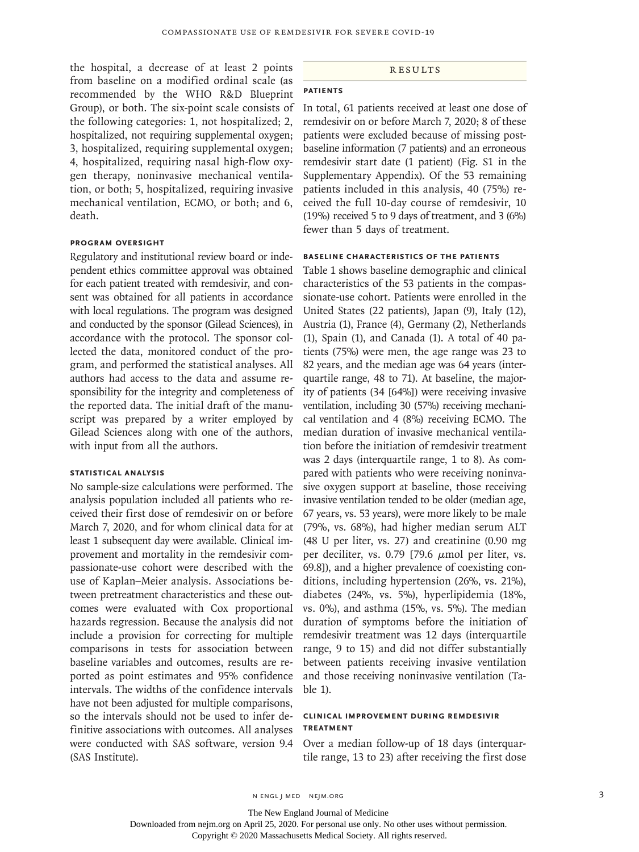the hospital, a decrease of at least 2 points from baseline on a modified ordinal scale (as recommended by the WHO R&D Blueprint Group), or both. The six-point scale consists of the following categories: 1, not hospitalized; 2, hospitalized, not requiring supplemental oxygen; 3, hospitalized, requiring supplemental oxygen; 4, hospitalized, requiring nasal high-flow oxygen therapy, noninvasive mechanical ventilation, or both; 5, hospitalized, requiring invasive mechanical ventilation, ECMO, or both; and 6, death.

### **Program Oversight**

Regulatory and institutional review board or independent ethics committee approval was obtained for each patient treated with remdesivir, and consent was obtained for all patients in accordance with local regulations. The program was designed and conducted by the sponsor (Gilead Sciences), in accordance with the protocol. The sponsor collected the data, monitored conduct of the program, and performed the statistical analyses. All authors had access to the data and assume responsibility for the integrity and completeness of the reported data. The initial draft of the manuscript was prepared by a writer employed by Gilead Sciences along with one of the authors, with input from all the authors.

# **Statistical Analysis**

No sample-size calculations were performed. The analysis population included all patients who received their first dose of remdesivir on or before March 7, 2020, and for whom clinical data for at least 1 subsequent day were available. Clinical improvement and mortality in the remdesivir compassionate-use cohort were described with the use of Kaplan–Meier analysis. Associations between pretreatment characteristics and these outcomes were evaluated with Cox proportional hazards regression. Because the analysis did not include a provision for correcting for multiple comparisons in tests for association between baseline variables and outcomes, results are reported as point estimates and 95% confidence intervals. The widths of the confidence intervals have not been adjusted for multiple comparisons, so the intervals should not be used to infer definitive associations with outcomes. All analyses were conducted with SAS software, version 9.4 (SAS Institute).

### Results

# **Patients**

In total, 61 patients received at least one dose of remdesivir on or before March 7, 2020; 8 of these patients were excluded because of missing postbaseline information (7 patients) and an erroneous remdesivir start date (1 patient) (Fig. S1 in the Supplementary Appendix). Of the 53 remaining patients included in this analysis, 40 (75%) received the full 10-day course of remdesivir, 10 (19%) received 5 to 9 days of treatment, and 3 (6%) fewer than 5 days of treatment.

### **Baseline Characteristics of the Patients**

Table 1 shows baseline demographic and clinical characteristics of the 53 patients in the compassionate-use cohort. Patients were enrolled in the United States (22 patients), Japan (9), Italy (12), Austria (1), France (4), Germany (2), Netherlands (1), Spain (1), and Canada (1). A total of 40 patients (75%) were men, the age range was 23 to 82 years, and the median age was 64 years (interquartile range, 48 to 71). At baseline, the majority of patients (34 [64%]) were receiving invasive ventilation, including 30 (57%) receiving mechanical ventilation and 4 (8%) receiving ECMO. The median duration of invasive mechanical ventilation before the initiation of remdesivir treatment was 2 days (interquartile range, 1 to 8). As compared with patients who were receiving noninvasive oxygen support at baseline, those receiving invasive ventilation tended to be older (median age, 67 years, vs. 53 years), were more likely to be male (79%, vs. 68%), had higher median serum ALT (48 U per liter, vs. 27) and creatinine (0.90 mg per deciliter, vs. 0.79 [79.6 μmol per liter, vs. 69.8]), and a higher prevalence of coexisting conditions, including hypertension (26%, vs. 21%), diabetes (24%, vs. 5%), hyperlipidemia (18%, vs. 0%), and asthma (15%, vs. 5%). The median duration of symptoms before the initiation of remdesivir treatment was 12 days (interquartile range, 9 to 15) and did not differ substantially between patients receiving invasive ventilation and those receiving noninvasive ventilation (Table 1).

## **Clinical Improvement during Remdesivir Treatment**

Over a median follow-up of 18 days (interquartile range, 13 to 23) after receiving the first dose

The New England Journal of Medicine

Downloaded from nejm.org on April 25, 2020. For personal use only. No other uses without permission.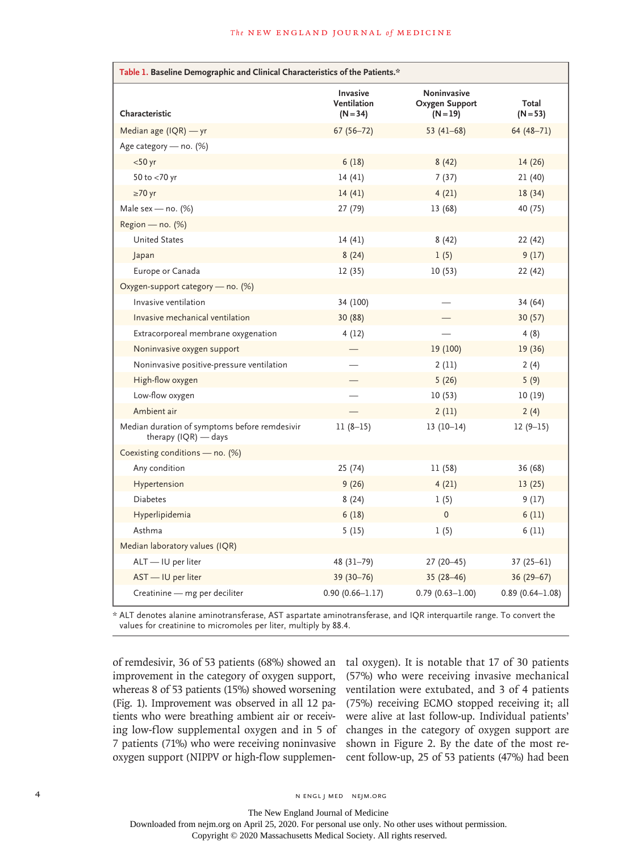| Table 1. Baseline Demographic and Clinical Characteristics of the Patients.* |                                       |                                             |                     |  |  |  |  |
|------------------------------------------------------------------------------|---------------------------------------|---------------------------------------------|---------------------|--|--|--|--|
| Characteristic                                                               | Invasive<br>Ventilation<br>$(N = 34)$ | Noninvasive<br>Oxygen Support<br>$(N = 19)$ | Total<br>$(N = 53)$ |  |  |  |  |
| Median age (IQR) - yr                                                        | $67(56 - 72)$                         | 53 $(41-68)$                                | 64 (48-71)          |  |  |  |  |
| Age category - no. (%)                                                       |                                       |                                             |                     |  |  |  |  |
| $<$ 50 yr                                                                    | 6(18)                                 | 8(42)                                       | 14(26)              |  |  |  |  |
| 50 to <70 yr                                                                 | 14(41)                                | 7(37)                                       | 21 (40)             |  |  |  |  |
| $\geq 70$ yr                                                                 | 14(41)                                | 4(21)                                       | 18 (34)             |  |  |  |  |
| Male sex — no. $(\%)$                                                        | 27 (79)                               | 13 (68)                                     | 40 (75)             |  |  |  |  |
| $Region - no. (%)$                                                           |                                       |                                             |                     |  |  |  |  |
| <b>United States</b>                                                         | 14 (41)                               | 8(42)                                       | 22 (42)             |  |  |  |  |
| Japan                                                                        | 8(24)                                 | 1(5)                                        | 9(17)               |  |  |  |  |
| Europe or Canada                                                             | 12 (35)                               | 10(53)                                      | 22 (42)             |  |  |  |  |
| Oxygen-support category — no. (%)                                            |                                       |                                             |                     |  |  |  |  |
| Invasive ventilation                                                         | 34 (100)                              |                                             | 34 (64)             |  |  |  |  |
| Invasive mechanical ventilation                                              | 30 (88)                               |                                             | 30(57)              |  |  |  |  |
| Extracorporeal membrane oxygenation                                          | 4(12)                                 |                                             | 4(8)                |  |  |  |  |
| Noninvasive oxygen support                                                   |                                       | 19 (100)                                    | 19(36)              |  |  |  |  |
| Noninvasive positive-pressure ventilation                                    |                                       | 2(11)                                       | 2(4)                |  |  |  |  |
| High-flow oxygen                                                             |                                       | 5(26)                                       | 5(9)                |  |  |  |  |
| Low-flow oxygen                                                              |                                       | 10(53)                                      | 10(19)              |  |  |  |  |
| Ambient air                                                                  |                                       | 2(11)                                       | 2(4)                |  |  |  |  |
| Median duration of symptoms before remdesivir<br>therapy $(IQR)$ — days      | $11(8-15)$                            | $13(10-14)$                                 | $12(9-15)$          |  |  |  |  |
| Coexisting conditions - no. (%)                                              |                                       |                                             |                     |  |  |  |  |
| Any condition                                                                | 25 (74)                               | 11 (58)                                     | 36 (68)             |  |  |  |  |
| Hypertension                                                                 | 9(26)                                 | 4(21)                                       | 13(25)              |  |  |  |  |
| <b>Diabetes</b>                                                              | 8(24)                                 | 1(5)                                        | 9(17)               |  |  |  |  |
| Hyperlipidemia                                                               | 6(18)                                 | $\pmb{0}$                                   | 6(11)               |  |  |  |  |
| Asthma                                                                       | 5(15)                                 | 1(5)                                        | 6(11)               |  |  |  |  |
| Median laboratory values (IQR)                                               |                                       |                                             |                     |  |  |  |  |
| $ALT \rightarrow IU$ per liter                                               | $48(31-79)$                           | 27 (20 - 45)                                | $37(25-61)$         |  |  |  |  |
| AST - IU per liter                                                           | $39(30 - 76)$                         | $35(28-46)$                                 | 36 (29–67)          |  |  |  |  |
| Creatinine - mg per deciliter                                                | $0.90(0.66 - 1.17)$                   | $0.79(0.63 - 1.00)$                         | $0.89(0.64 - 1.08)$ |  |  |  |  |

\* ALT denotes alanine aminotransferase, AST aspartate aminotransferase, and IQR interquartile range. To convert the values for creatinine to micromoles per liter, multiply by 88.4.

of remdesivir, 36 of 53 patients (68%) showed an improvement in the category of oxygen support, whereas 8 of 53 patients (15%) showed worsening (Fig. 1). Improvement was observed in all 12 patients who were breathing ambient air or receiving low-flow supplemental oxygen and in 5 of 7 patients (71%) who were receiving noninvasive oxygen support (NIPPV or high-flow supplemen-

tal oxygen). It is notable that 17 of 30 patients (57%) who were receiving invasive mechanical ventilation were extubated, and 3 of 4 patients (75%) receiving ECMO stopped receiving it; all were alive at last follow-up. Individual patients' changes in the category of oxygen support are shown in Figure 2. By the date of the most recent follow-up, 25 of 53 patients (47%) had been

The New England Journal of Medicine Downloaded from nejm.org on April 25, 2020. For personal use only. No other uses without permission.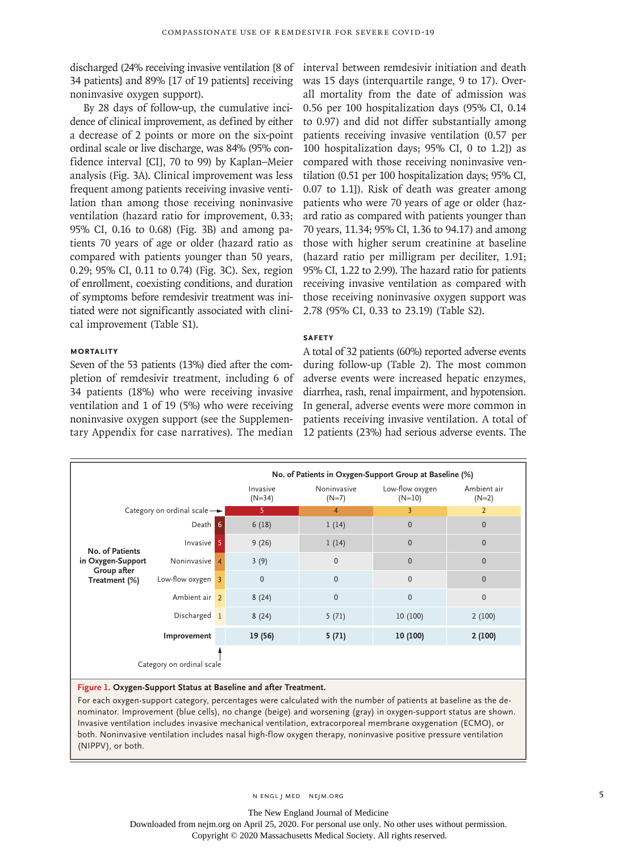34 patients] and 89% [17 of 19 patients] receiving noninvasive oxygen support).

By 28 days of follow-up, the cumulative incidence of clinical improvement, as defined by either a decrease of 2 points or more on the six-point ordinal scale or live discharge, was 84% (95% confidence interval [CI], 70 to 99) by Kaplan–Meier analysis (Fig. 3A). Clinical improvement was less frequent among patients receiving invasive ventilation than among those receiving noninvasive ventilation (hazard ratio for improvement, 0.33; 95% CI, 0.16 to 0.68) (Fig. 3B) and among patients 70 years of age or older (hazard ratio as compared with patients younger than 50 years, 0.29; 95% CI, 0.11 to 0.74) (Fig. 3C). Sex, region of enrollment, coexisting conditions, and duration of symptoms before remdesivir treatment was initiated were not significantly associated with clinical improvement (Table S1).

### **Mortality**

Seven of the 53 patients (13%) died after the completion of remdesivir treatment, including 6 of 34 patients (18%) who were receiving invasive ventilation and 1 of 19 (5%) who were receiving noninvasive oxygen support (see the Supplementary Appendix for case narratives). The median

discharged (24% receiving invasive ventilation [8 of interval between remdesivir initiation and death was 15 days (interquartile range, 9 to 17). Overall mortality from the date of admission was 0.56 per 100 hospitalization days (95% CI, 0.14 to 0.97) and did not differ substantially among patients receiving invasive ventilation (0.57 per 100 hospitalization days; 95% CI, 0 to 1.2]) as compared with those receiving noninvasive ventilation (0.51 per 100 hospitalization days; 95% CI, 0.07 to 1.1]). Risk of death was greater among patients who were 70 years of age or older (hazard ratio as compared with patients younger than 70 years, 11.34; 95% CI, 1.36 to 94.17) and among those with higher serum creatinine at baseline (hazard ratio per milligram per deciliter, 1.91; 95% CI, 1.22 to 2.99). The hazard ratio for patients receiving invasive ventilation as compared with those receiving noninvasive oxygen support was 2.78 (95% CI, 0.33 to 23.19) (Table S2).

# **Safety**

A total of 32 patients (60%) reported adverse events during follow-up (Table 2). The most common adverse events were increased hepatic enzymes, diarrhea, rash, renal impairment, and hypotension. In general, adverse events were more common in patients receiving invasive ventilation. A total of 12 patients (23%) had serious adverse events. The

|                                                                      |                           |                | No. of Patients in Oxygen-Support Group at Baseline (%) |                        |                             |                        |  |  |
|----------------------------------------------------------------------|---------------------------|----------------|---------------------------------------------------------|------------------------|-----------------------------|------------------------|--|--|
|                                                                      |                           |                | Invasive<br>$(N=34)$                                    | Noninvasive<br>$(N=7)$ | Low-flow oxygen<br>$(N=10)$ | Ambient air<br>$(N=2)$ |  |  |
| Category on ordinal scale $\rightarrow$                              |                           | 5.             | $\overline{4}$                                          | $\overline{3}$         | $\overline{2}$              |                        |  |  |
| Death                                                                |                           | 6              | 6(18)                                                   | 1(14)                  | $\mathbf{0}$                | $\mathbf{0}$           |  |  |
| No. of Patients<br>in Oxygen-Support<br>Group after<br>Treatment (%) | Invasive                  | 5              | 9(26)                                                   | 1(14)                  | $\mathbf{0}$                | $\mathbf{0}$           |  |  |
|                                                                      | Noninvasive               |                | 3(9)                                                    | $\mathbf 0$            | $\pmb{0}$                   | $\mathbf{0}$           |  |  |
|                                                                      | Low-flow oxygen           | $\overline{3}$ | $\mathbf{0}$                                            | $\mathbf{0}$           | $\mathbf{0}$                | $\mathbf{0}$           |  |  |
|                                                                      | Ambient air 2             |                | 8(24)                                                   | $\mathbf{0}$           | $\mathbf{0}$                | $\mathbf{0}$           |  |  |
|                                                                      | Discharged 1              |                | 8(24)                                                   | 5(71)                  | 10 (100)                    | 2(100)                 |  |  |
|                                                                      | Improvement               |                | 19 (56)                                                 | 5(71)                  | 10 (100)                    | 2(100)                 |  |  |
|                                                                      | Category on ordinal scale |                |                                                         |                        |                             |                        |  |  |

### **Figure 1. Oxygen-Support Status at Baseline and after Treatment.**

For each oxygen-support category, percentages were calculated with the number of patients at baseline as the denominator. Improvement (blue cells), no change (beige) and worsening (gray) in oxygen-support status are shown. Invasive ventilation includes invasive mechanical ventilation, extracorporeal membrane oxygenation (ECMO), or both. Noninvasive ventilation includes nasal high-flow oxygen therapy, noninvasive positive pressure ventilation (NIPPV), or both.

n engl j med nejm.org 5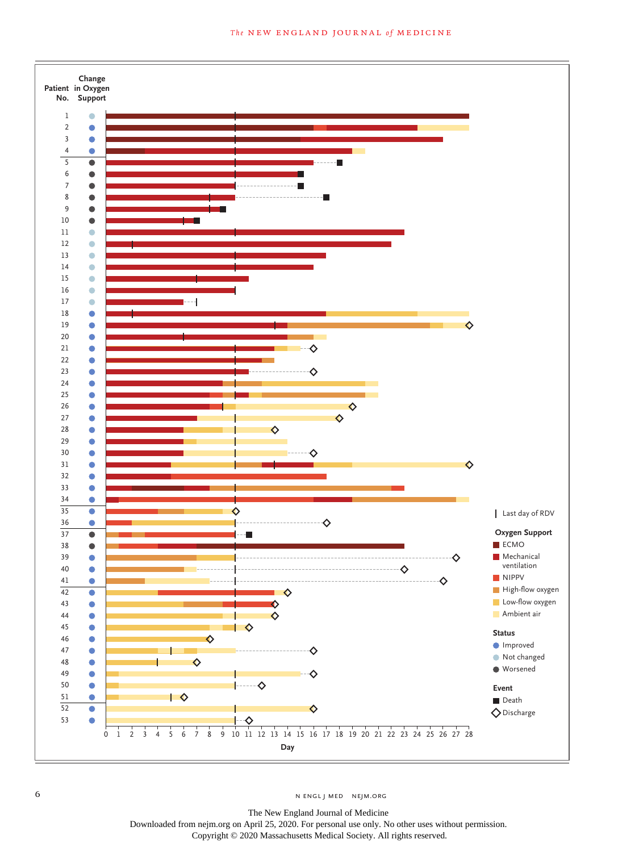

The New England Journal of Medicine Downloaded from nejm.org on April 25, 2020. For personal use only. No other uses without permission. Copyright © 2020 Massachusetts Medical Society. All rights reserved.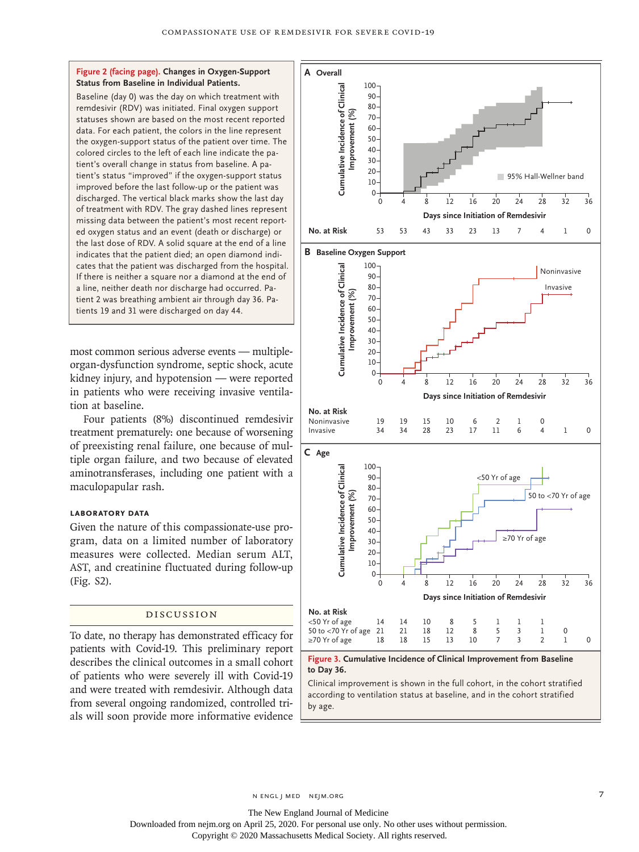### **Figure 2 (facing page). Changes in Oxygen-Support Status from Baseline in Individual Patients.**

Baseline (day 0) was the day on which treatment with remdesivir (RDV) was initiated. Final oxygen support statuses shown are based on the most recent reported data. For each patient, the colors in the line represent the oxygen-support status of the patient over time. The colored circles to the left of each line indicate the patient's overall change in status from baseline. A patient's status "improved" if the oxygen-support status improved before the last follow-up or the patient was discharged. The vertical black marks show the last day of treatment with RDV. The gray dashed lines represent missing data between the patient's most recent reported oxygen status and an event (death or discharge) or the last dose of RDV. A solid square at the end of a line indicates that the patient died; an open diamond indicates that the patient was discharged from the hospital. If there is neither a square nor a diamond at the end of a line, neither death nor discharge had occurred. Patient 2 was breathing ambient air through day 36. Patients 19 and 31 were discharged on day 44.

most common serious adverse events — multipleorgan-dysfunction syndrome, septic shock, acute kidney injury, and hypotension — were reported in patients who were receiving invasive ventilation at baseline.

Four patients (8%) discontinued remdesivir treatment prematurely: one because of worsening of preexisting renal failure, one because of multiple organ failure, and two because of elevated aminotransferases, including one patient with a maculopapular rash.

### **Laboratory Data**

Given the nature of this compassionate-use program, data on a limited number of laboratory measures were collected. Median serum ALT, AST, and creatinine fluctuated during follow-up (Fig. S2).

### Discussion

To date, no therapy has demonstrated efficacy for patients with Covid-19. This preliminary report describes the clinical outcomes in a small cohort of patients who were severely ill with Covid-19 and were treated with remdesivir. Although data from several ongoing randomized, controlled trials will soon provide more informative evidence



according to ventilation status at baseline, and in the cohort stratified by age.

Clinical improvement is shown in the full cohort, in the cohort stratified

The New England Journal of Medicine

Downloaded from nejm.org on April 25, 2020. For personal use only. No other uses without permission.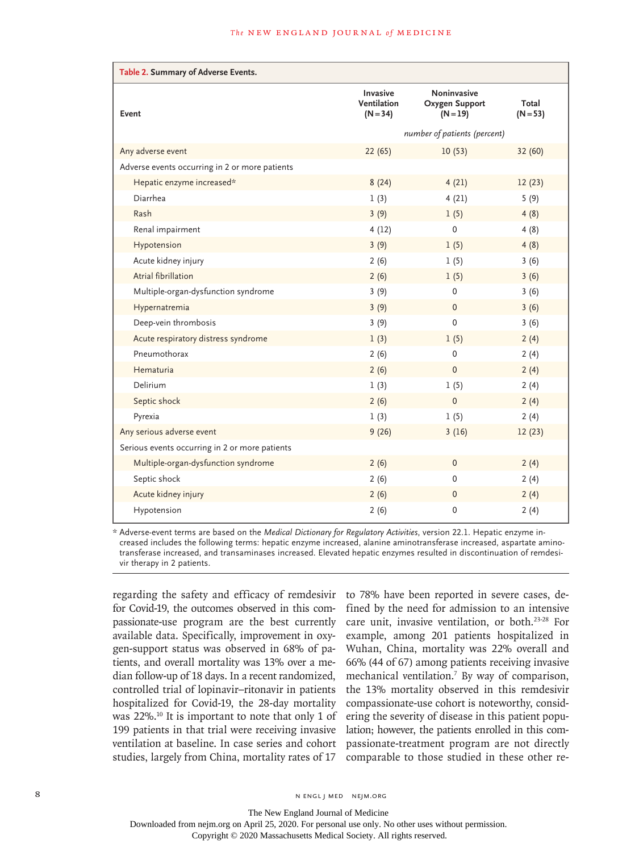| Table 2. Summary of Adverse Events.            |                                       |                                             |                     |  |  |  |  |
|------------------------------------------------|---------------------------------------|---------------------------------------------|---------------------|--|--|--|--|
| Event                                          | Invasive<br>Ventilation<br>$(N = 34)$ | Noninvasive<br>Oxygen Support<br>$(N = 19)$ | Total<br>$(N = 53)$ |  |  |  |  |
|                                                |                                       | number of patients (percent)                |                     |  |  |  |  |
| Any adverse event                              | 22(65)                                | 10(53)                                      | 32 (60)             |  |  |  |  |
| Adverse events occurring in 2 or more patients |                                       |                                             |                     |  |  |  |  |
| Hepatic enzyme increased*                      | 8(24)                                 | 4(21)                                       | 12(23)              |  |  |  |  |
| Diarrhea                                       | 1(3)                                  | 4(21)                                       | 5(9)                |  |  |  |  |
| Rash                                           | 3(9)                                  | 1(5)                                        | 4(8)                |  |  |  |  |
| Renal impairment                               | 4(12)                                 | $\mathbf 0$                                 | 4(8)                |  |  |  |  |
| Hypotension                                    | 3(9)                                  | 1(5)                                        | 4(8)                |  |  |  |  |
| Acute kidney injury                            | 2(6)                                  | 1(5)                                        | 3(6)                |  |  |  |  |
| Atrial fibrillation                            | 2(6)                                  | 1(5)                                        | 3(6)                |  |  |  |  |
| Multiple-organ-dysfunction syndrome            | 3(9)                                  | 0                                           | 3(6)                |  |  |  |  |
| Hypernatremia                                  | 3(9)                                  | $\mathbf{0}$                                | 3(6)                |  |  |  |  |
| Deep-vein thrombosis                           | 3(9)                                  | $\mathbf 0$                                 | 3(6)                |  |  |  |  |
| Acute respiratory distress syndrome            | 1(3)                                  | 1(5)                                        | 2(4)                |  |  |  |  |
| Pneumothorax                                   | 2(6)                                  | $\mathbf 0$                                 | 2(4)                |  |  |  |  |
| Hematuria                                      | 2(6)                                  | $\mathbf{0}$                                | 2(4)                |  |  |  |  |
| Delirium                                       | 1(3)                                  | 1(5)                                        | 2(4)                |  |  |  |  |
| Septic shock                                   | 2(6)                                  | $\mathbf{0}$                                | 2(4)                |  |  |  |  |
| Pyrexia                                        | 1(3)                                  | 1(5)                                        | 2(4)                |  |  |  |  |
| Any serious adverse event                      | 9(26)                                 | 3(16)                                       | 12(23)              |  |  |  |  |
| Serious events occurring in 2 or more patients |                                       |                                             |                     |  |  |  |  |
| Multiple-organ-dysfunction syndrome            | 2(6)                                  | $\mathbf{0}$                                | 2(4)                |  |  |  |  |
| Septic shock                                   | 2(6)                                  | $\mathsf 0$                                 | 2(4)                |  |  |  |  |
| Acute kidney injury                            | 2(6)                                  | $\pmb{0}$                                   | 2(4)                |  |  |  |  |
| Hypotension                                    | 2(6)                                  | $\mathsf 0$                                 | 2(4)                |  |  |  |  |

\* Adverse-event terms are based on the *Medical Dictionary for Regulatory Activities*, version 22.1. Hepatic enzyme increased includes the following terms: hepatic enzyme increased, alanine aminotransferase increased, aspartate aminotransferase increased, and transaminases increased. Elevated hepatic enzymes resulted in discontinuation of remdesivir therapy in 2 patients.

regarding the safety and efficacy of remdesivir for Covid-19, the outcomes observed in this compassionate-use program are the best currently available data. Specifically, improvement in oxygen-support status was observed in 68% of patients, and overall mortality was 13% over a median follow-up of 18 days. In a recent randomized, controlled trial of lopinavir–ritonavir in patients hospitalized for Covid-19, the 28-day mortality was 22%.<sup>10</sup> It is important to note that only 1 of 199 patients in that trial were receiving invasive ventilation at baseline. In case series and cohort studies, largely from China, mortality rates of 17

to 78% have been reported in severe cases, defined by the need for admission to an intensive care unit, invasive ventilation, or both.23-28 For example, among 201 patients hospitalized in Wuhan, China, mortality was 22% overall and 66% (44 of 67) among patients receiving invasive mechanical ventilation.7 By way of comparison, the 13% mortality observed in this remdesivir compassionate-use cohort is noteworthy, considering the severity of disease in this patient population; however, the patients enrolled in this compassionate-treatment program are not directly comparable to those studied in these other re-

The New England Journal of Medicine Downloaded from nejm.org on April 25, 2020. For personal use only. No other uses without permission.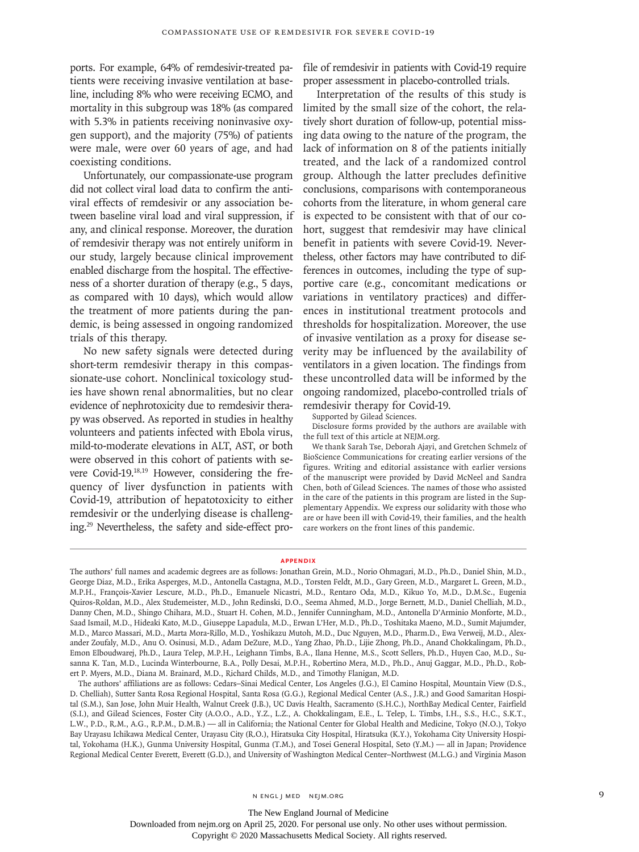ports. For example, 64% of remdesivir-treated patients were receiving invasive ventilation at baseline, including 8% who were receiving ECMO, and mortality in this subgroup was 18% (as compared with 5.3% in patients receiving noninvasive oxygen support), and the majority (75%) of patients were male, were over 60 years of age, and had coexisting conditions.

Unfortunately, our compassionate-use program did not collect viral load data to confirm the antiviral effects of remdesivir or any association between baseline viral load and viral suppression, if any, and clinical response. Moreover, the duration of remdesivir therapy was not entirely uniform in our study, largely because clinical improvement enabled discharge from the hospital. The effectiveness of a shorter duration of therapy (e.g., 5 days, as compared with 10 days), which would allow the treatment of more patients during the pandemic, is being assessed in ongoing randomized trials of this therapy.

No new safety signals were detected during short-term remdesivir therapy in this compassionate-use cohort. Nonclinical toxicology studies have shown renal abnormalities, but no clear evidence of nephrotoxicity due to remdesivir therapy was observed. As reported in studies in healthy volunteers and patients infected with Ebola virus, mild-to-moderate elevations in ALT, AST, or both were observed in this cohort of patients with severe Covid-19.18,19 However, considering the frequency of liver dysfunction in patients with Covid-19, attribution of hepatotoxicity to either remdesivir or the underlying disease is challenging.29 Nevertheless, the safety and side-effect profile of remdesivir in patients with Covid-19 require proper assessment in placebo-controlled trials.

Interpretation of the results of this study is limited by the small size of the cohort, the relatively short duration of follow-up, potential missing data owing to the nature of the program, the lack of information on 8 of the patients initially treated, and the lack of a randomized control group. Although the latter precludes definitive conclusions, comparisons with contemporaneous cohorts from the literature, in whom general care is expected to be consistent with that of our cohort, suggest that remdesivir may have clinical benefit in patients with severe Covid-19. Nevertheless, other factors may have contributed to differences in outcomes, including the type of supportive care (e.g., concomitant medications or variations in ventilatory practices) and differences in institutional treatment protocols and thresholds for hospitalization. Moreover, the use of invasive ventilation as a proxy for disease severity may be influenced by the availability of ventilators in a given location. The findings from these uncontrolled data will be informed by the ongoing randomized, placebo-controlled trials of remdesivir therapy for Covid-19.

Supported by Gilead Sciences.

Disclosure forms provided by the authors are available with the full text of this article at NEJM.org.

We thank Sarah Tse, Deborah Ajayi, and Gretchen Schmelz of BioScience Communications for creating earlier versions of the figures. Writing and editorial assistance with earlier versions of the manuscript were provided by David McNeel and Sandra Chen, both of Gilead Sciences. The names of those who assisted in the care of the patients in this program are listed in the Supplementary Appendix. We express our solidarity with those who are or have been ill with Covid-19, their families, and the health care workers on the front lines of this pandemic.

#### **Appendix**

The authors' full names and academic degrees are as follows: Jonathan Grein, M.D., Norio Ohmagari, M.D., Ph.D., Daniel Shin, M.D., George Diaz, M.D., Erika Asperges, M.D., Antonella Castagna, M.D., Torsten Feldt, M.D., Gary Green, M.D., Margaret L. Green, M.D., M.P.H., François-Xavier Lescure, M.D., Ph.D., Emanuele Nicastri, M.D., Rentaro Oda, M.D., Kikuo Yo, M.D., D.M.Sc., Eugenia Quiros-Roldan, M.D., Alex Studemeister, M.D., John Redinski, D.O., Seema Ahmed, M.D., Jorge Bernett, M.D., Daniel Chelliah, M.D., Danny Chen, M.D., Shingo Chihara, M.D., Stuart H. Cohen, M.D., Jennifer Cunningham, M.D., Antonella D'Arminio Monforte, M.D., Saad Ismail, M.D., Hideaki Kato, M.D., Giuseppe Lapadula, M.D., Erwan L'Her, M.D., Ph.D., Toshitaka Maeno, M.D., Sumit Majumder, M.D., Marco Massari, M.D., Marta Mora-Rillo, M.D., Yoshikazu Mutoh, M.D., Duc Nguyen, M.D., Pharm.D., Ewa Verweij, M.D., Alexander Zoufaly, M.D., Anu O. Osinusi, M.D., Adam DeZure, M.D., Yang Zhao, Ph.D., Lijie Zhong, Ph.D., Anand Chokkalingam, Ph.D., Emon Elboudwarej, Ph.D., Laura Telep, M.P.H., Leighann Timbs, B.A., Ilana Henne, M.S., Scott Sellers, Ph.D., Huyen Cao, M.D., Susanna K. Tan, M.D., Lucinda Winterbourne, B.A., Polly Desai, M.P.H., Robertino Mera, M.D., Ph.D., Anuj Gaggar, M.D., Ph.D., Robert P. Myers, M.D., Diana M. Brainard, M.D., Richard Childs, M.D., and Timothy Flanigan, M.D.

The authors' affiliations are as follows: Cedars–Sinai Medical Center, Los Angeles (J.G.), El Camino Hospital, Mountain View (D.S., D. Chelliah), Sutter Santa Rosa Regional Hospital, Santa Rosa (G.G.), Regional Medical Center (A.S., J.R.) and Good Samaritan Hospital (S.M.), San Jose, John Muir Health, Walnut Creek (J.B.), UC Davis Health, Sacramento (S.H.C.), NorthBay Medical Center, Fairfield (S.I.), and Gilead Sciences, Foster City (A.O.O., A.D., Y.Z., L.Z., A. Chokkalingam, E.E., L. Telep, L. Timbs, I.H., S.S., H.C., S.K.T., L.W., P.D., R.M., A.G., R.P.M., D.M.B.) — all in California; the National Center for Global Health and Medicine, Tokyo (N.O.), Tokyo Bay Urayasu Ichikawa Medical Center, Urayasu City (R.O.), Hiratsuka City Hospital, Hiratsuka (K.Y.), Yokohama City University Hospital, Yokohama (H.K.), Gunma University Hospital, Gunma (T.M.), and Tosei General Hospital, Seto (Y.M.) — all in Japan; Providence Regional Medical Center Everett, Everett (G.D.), and University of Washington Medical Center–Northwest (M.L.G.) and Virginia Mason

The New England Journal of Medicine Downloaded from nejm.org on April 25, 2020. For personal use only. No other uses without permission.